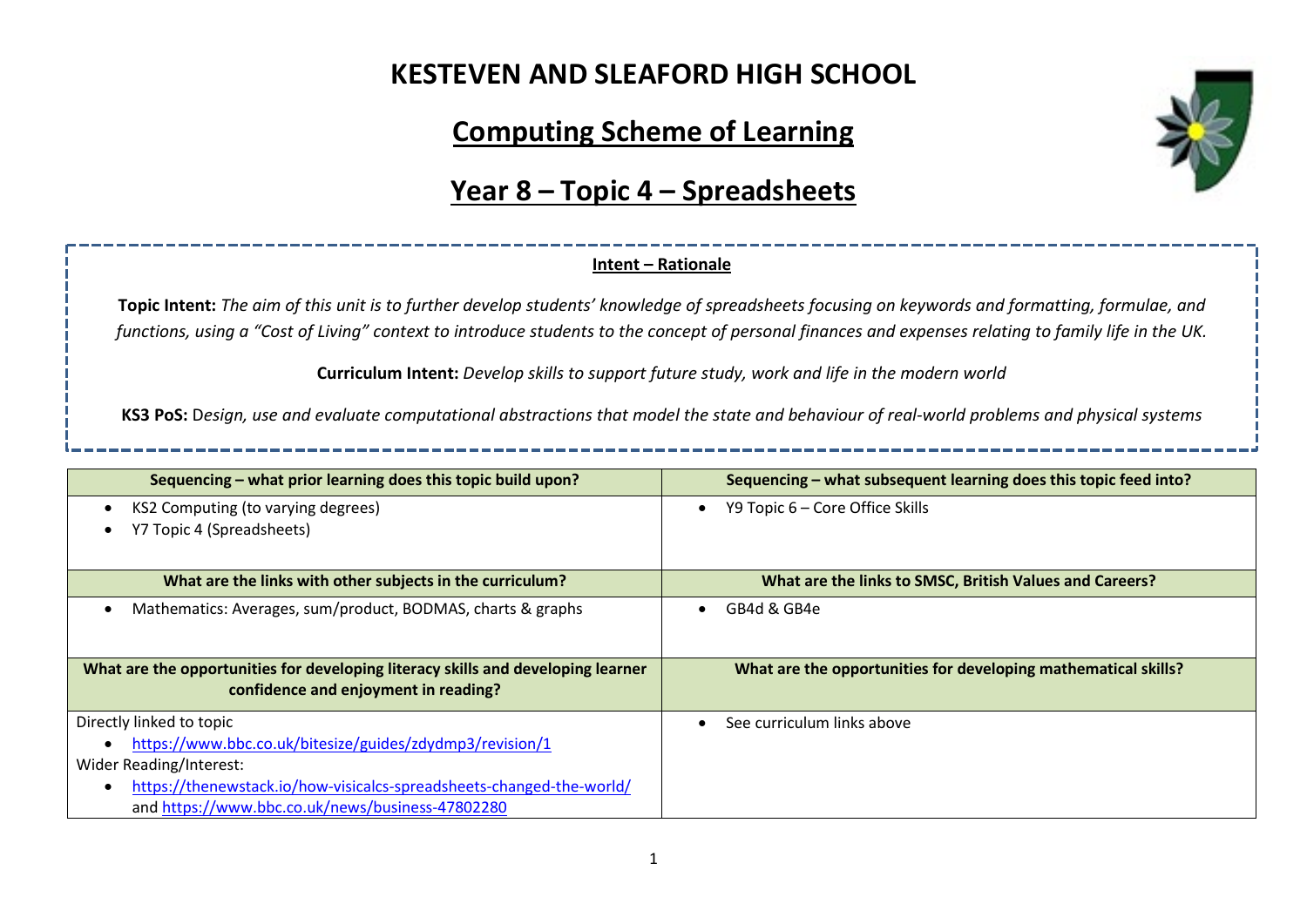## **KESTEVEN AND SLEAFORD HIGH SCHOOL**

# **Computing Scheme of Learning**

#### **Year 8 – Topic 4 – Spreadsheets**

#### **Intent – Rationale**

**Topic Intent:** *The aim of this unit is to further develop students' knowledge of spreadsheets focusing on keywords and formatting, formulae, and functions, using a "Cost of Living" context to introduce students to the concept of personal finances and expenses relating to family life in the UK.*

**Curriculum Intent:** *Develop skills to support future study, work and life in the modern world*

**KS3 PoS:** D*esign, use and evaluate computational abstractions that model the state and behaviour of real-world problems and physical systems*

| Sequencing – what prior learning does this topic build upon?                                                             | Sequencing – what subsequent learning does this topic feed into? |  |
|--------------------------------------------------------------------------------------------------------------------------|------------------------------------------------------------------|--|
| KS2 Computing (to varying degrees)<br>٠<br>Y7 Topic 4 (Spreadsheets)                                                     | Y9 Topic 6 – Core Office Skills<br>$\bullet$                     |  |
|                                                                                                                          |                                                                  |  |
| What are the links with other subjects in the curriculum?                                                                | What are the links to SMSC, British Values and Careers?          |  |
| Mathematics: Averages, sum/product, BODMAS, charts & graphs<br>$\bullet$                                                 | GB4d & GB4e                                                      |  |
| What are the opportunities for developing literacy skills and developing learner<br>confidence and enjoyment in reading? | What are the opportunities for developing mathematical skills?   |  |
| Directly linked to topic                                                                                                 | See curriculum links above                                       |  |
| https://www.bbc.co.uk/bitesize/guides/zdydmp3/revision/1                                                                 |                                                                  |  |
| Wider Reading/Interest:                                                                                                  |                                                                  |  |
| https://thenewstack.io/how-visicalcs-spreadsheets-changed-the-world/<br>$\bullet$                                        |                                                                  |  |
| and https://www.bbc.co.uk/news/business-47802280                                                                         |                                                                  |  |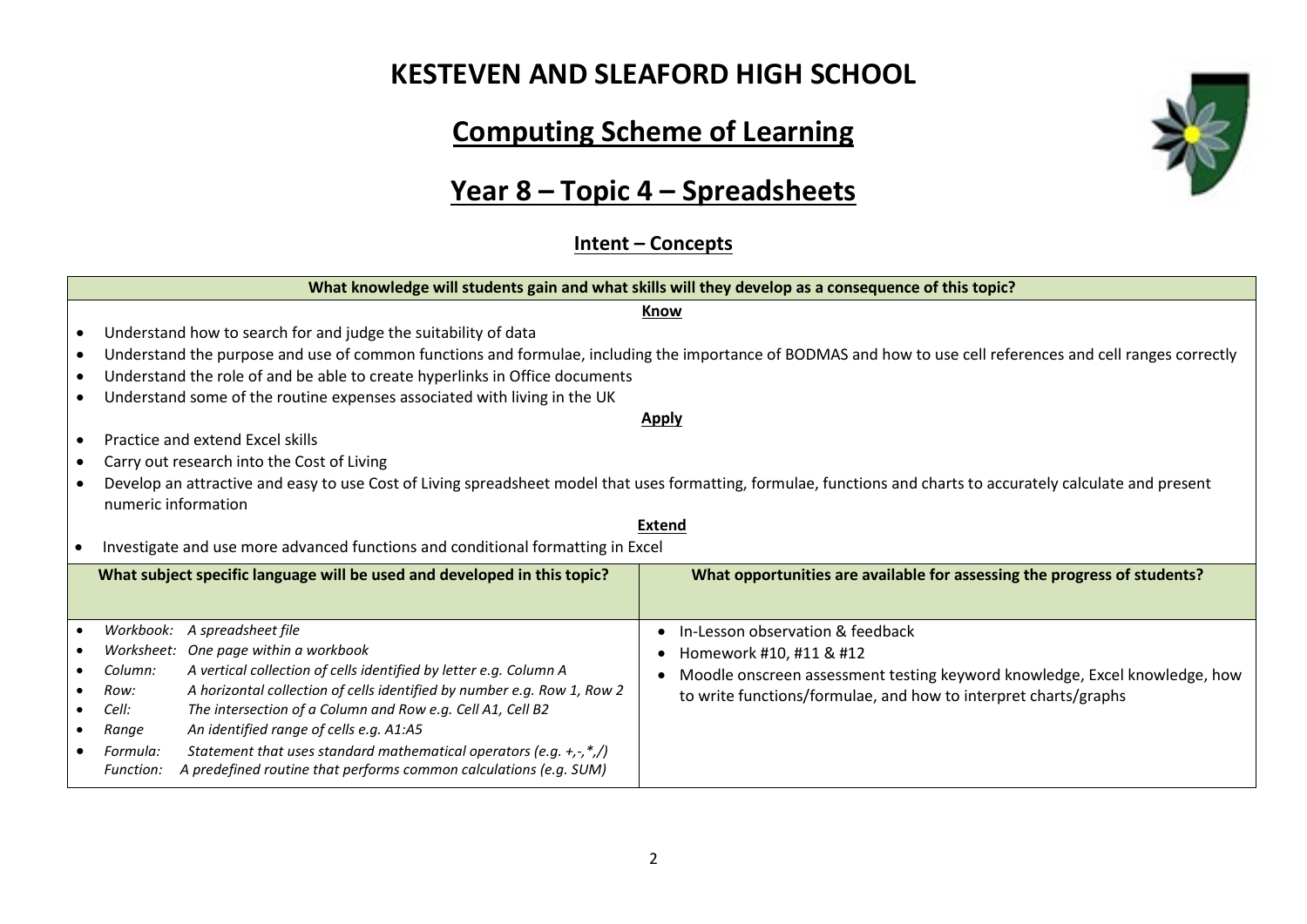## **KESTEVEN AND SLEAFORD HIGH SCHOOL**

# **Computing Scheme of Learning**

## **Year 8 – Topic 4 – Spreadsheets**

**Intent – Concepts**